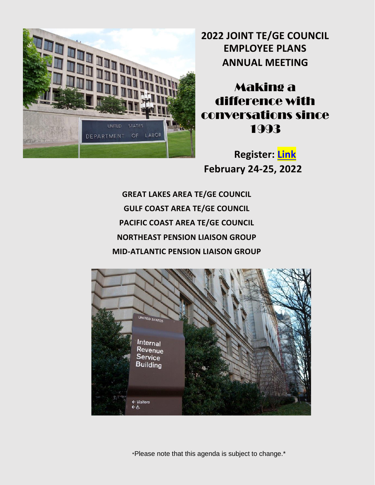

**2022 JOINT TE/GE COUNCIL EMPLOYEE PLANS ANNUAL MEETING**

Making a difference with conversations since 1993

**Register: [Link](https://tegecouncil.org/) February 24-25, 2022**

**GREAT LAKES AREA TE/GE COUNCIL GULF COAST AREA TE/GE COUNCIL PACIFIC COAST AREA TE/GE COUNCIL NORTHEAST PENSION LIAISON GROUP MID-ATLANTIC PENSION LIAISON GROUP**

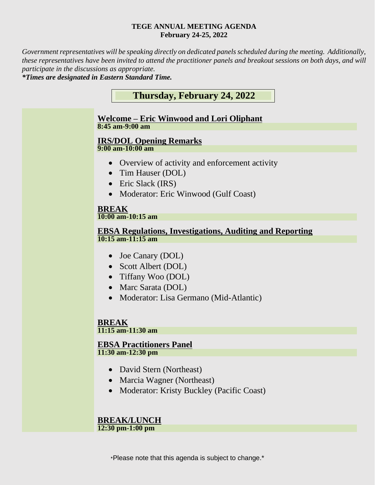#### **TEGE ANNUAL MEETING AGENDA February 24-25, 2022**

*Government representatives will be speaking directly on dedicated panels scheduled during the meeting. Additionally, these representatives have been invited to attend the practitioner panels and breakout sessions on both days, and will participate in the discussions as appropriate.*

*\*Times are designated in Eastern Standard Time.* 



- Marcia Wagner (Northeast)
- Moderator: Kristy Buckley (Pacific Coast)

#### **BREAK/LUNCH 12:30 pm-1:00 pm**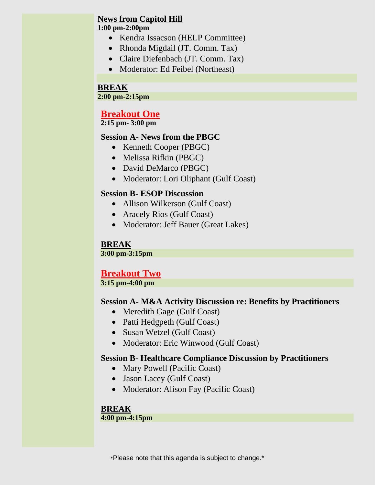# **News from Capitol Hill**

#### **1:00 pm-2:00pm**

- Kendra Issacson (HELP Committee)
- Rhonda Migdail (JT. Comm. Tax)
- Claire Diefenbach (JT. Comm. Tax)
- Moderator: Ed Feibel (Northeast)

#### **BREAK**

**2:00 pm-2:15pm**

# **Breakout One**

**2:15 pm- 3:00 pm**

#### **Session A- News from the PBGC**

- Kenneth Cooper (PBGC)
- Melissa Rifkin (PBGC)
- David DeMarco (PBGC)
- Moderator: Lori Oliphant (Gulf Coast)

#### **Session B- ESOP Discussion**

- Allison Wilkerson (Gulf Coast)
- Aracely Rios (Gulf Coast)
- Moderator: Jeff Bauer (Great Lakes)

### **BREAK**

**3:00 pm-3:15pm**

# **Breakout Two**

**3:15 pm-4:00 pm**

### **Session A- M&A Activity Discussion re: Benefits by Practitioners**

- Meredith Gage (Gulf Coast)
- Patti Hedgpeth (Gulf Coast)
- Susan Wetzel (Gulf Coast)
- Moderator: Eric Winwood (Gulf Coast)

### **Session B- Healthcare Compliance Discussion by Practitioners**

- Mary Powell (Pacific Coast)
- Jason Lacey (Gulf Coast)
- Moderator: Alison Fay (Pacific Coast)

# **BREAK**

### **4:00 pm-4:15pm**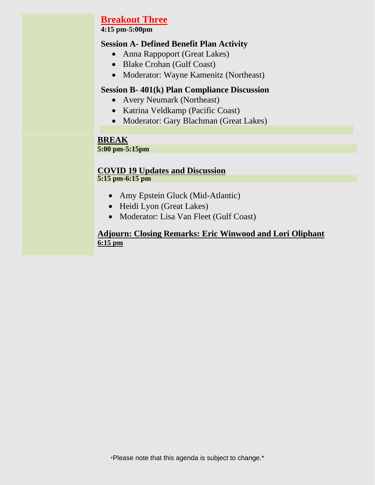# **Breakout Three**

**4:15 pm-5:00pm**

### **Session A- Defined Benefit Plan Activity**

- Anna Rappoport (Great Lakes)
- Blake Crohan (Gulf Coast)
- Moderator: Wayne Kamenitz (Northeast)

#### **Session B- 401(k) Plan Compliance Discussion**

- Avery Neumark (Northeast)
- Katrina Veldkamp (Pacific Coast)
- Moderator: Gary Blachman (Great Lakes)

#### **BREAK 5:00 pm-5:15pm**

#### **COVID 19 Updates and Discussion 5:15 pm-6:15 pm**

- Amy Epstein Gluck (Mid-Atlantic)
- Heidi Lyon (Great Lakes)
- Moderator: Lisa Van Fleet (Gulf Coast)

### **Adjourn: Closing Remarks: Eric Winwood and Lori Oliphant 6:15 pm**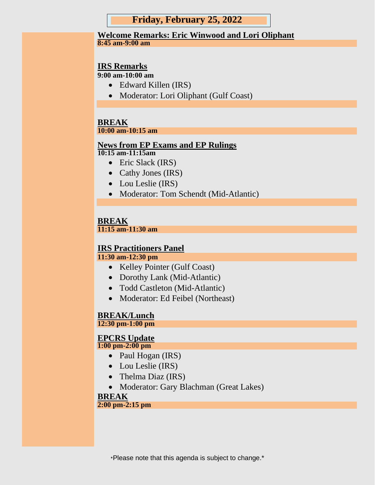### **Friday, February 25, 2022**

#### **Welcome Remarks: Eric Winwood and Lori Oliphant 8:45 am-9:00 am**

### **IRS Remarks**

**9:00 am-10:00 am**

- Edward Killen (IRS)
- Moderator: Lori Oliphant (Gulf Coast)

#### **BREAK 10:00 am-10:15 am**

# **News from EP Exams and EP Rulings**

**10:15 am-11:15am**

- Eric Slack (IRS)
- Cathy Jones (IRS)
- Lou Leslie (IRS)
- Moderator: Tom Schendt (Mid-Atlantic)

#### **BREAK 11:15 am-11:30 am**

### **IRS Practitioners Panel**

#### **11:30 am-12:30 pm**

- Kelley Pointer (Gulf Coast)
- Dorothy Lank (Mid-Atlantic)
- Todd Castleton (Mid-Atlantic)
- Moderator: Ed Feibel (Northeast)

# **BREAK/Lunch**

**12:30 pm-1:00 pm** 

#### **EPCRS Update 1:00 pm-2:00 pm**

- Paul Hogan (IRS)
- Lou Leslie (IRS)
- Thelma Diaz (IRS)
- Moderator: Gary Blachman (Great Lakes)

#### **BREAK**

#### **2:00 pm-2:15 pm**